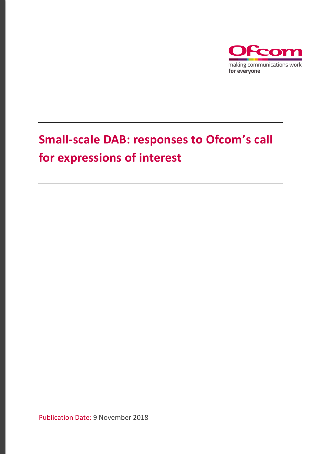

# **Small-scale DAB: responses to Ofcom's call for expressions of interest**

Publication Date: 9 November 2018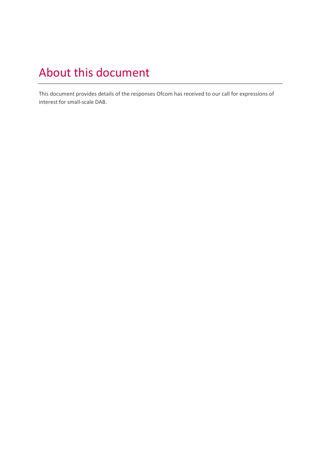## About this document

This document provides details of the responses Ofcom has received to our call for expressions of interest for small-scale DAB.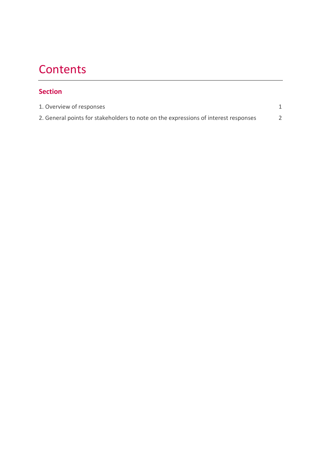#### **Contents**

#### **Section**

| 1. Overview of responses                                                            |  |
|-------------------------------------------------------------------------------------|--|
| 2. General points for stakeholders to note on the expressions of interest responses |  |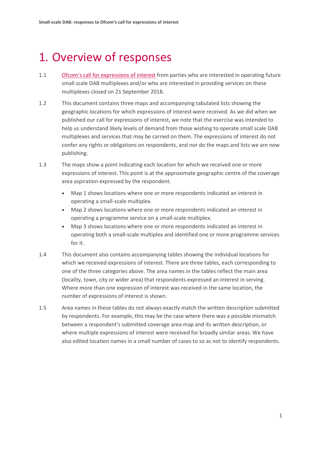#### <span id="page-3-0"></span>1. Overview of responses

- 1.1 Ofcom's call for [expressions of interest](https://www.ofcom.org.uk/consultations-and-statements/category-2/small-scale-dab-interest) from parties who are interested in operating future small scale DAB multiplexes and/or who are interested in providing services on these multiplexes closed on 21 September 2018.
- 1.2 This document contains three maps and accompanying tabulated lists showing the geographic locations for which expressions of interest were received. As we did when we published our call for expressions of interest, we note that the exercise was intended to help us understand likely levels of demand from those wishing to operate small scale DAB multiplexes and services that may be carried on them. The expressions of interest do not confer any rights or obligations on respondents, and nor do the maps and lists we are now publishing.
- 1.3 The maps show a point indicating each location for which we received one or more expressions of interest. This point is at the approximate geographic centre of the coverage area aspiration expressed by the respondent.
	- Map 1 shows locations where one or more respondents indicated an interest in operating a small-scale multiplex.
	- Map 2 shows locations where one or more respondents indicated an interest in operating a programme service on a small-scale multiplex.
	- Map 3 shows locations where one or more respondents indicated an interest in operating both a small-scale multiplex and identified one or more programme services for it.
- 1.4 This document also contains accompanying tables showing the individual locations for which we received expressions of interest. There are three tables, each corresponding to one of the three categories above. The area names in the tables reflect the main area (locality, town, city or wider area) that respondents expressed an interest in serving. Where more than one expression of interest was received in the same location, the number of expressions of interest is shown.
- 1.5 Area names in these tables do not always exactly match the written description submitted by respondents. For example, this may be the case where there was a possible mismatch between a respondent's submitted coverage area map and its written description, or where multiple expressions of interest were received for broadly similar areas. We have also edited location names in a small number of cases to so as not to identify respondents.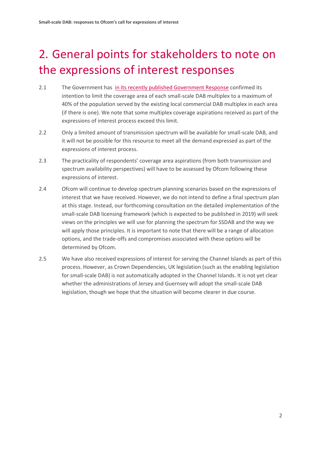## <span id="page-4-0"></span>2. General points for stakeholders to note on the expressions of interest responses

- 2.1 The Government has in its recently [published Government Response](https://assets.publishing.service.gov.uk/government/uploads/system/uploads/attachment_data/file/747992/Small_Scale_DAB_Licensing_consultation__Government_response__3_.pdf) confirmed its intention to limit the coverage area of each small-scale DAB multiplex to a maximum of 40% of the population served by the existing local commercial DAB multiplex in each area (if there is one). We note that some multiplex coverage aspirations received as part of the expressions of interest process exceed this limit.
- 2.2 Only a limited amount of transmission spectrum will be available for small-scale DAB, and it will not be possible for this resource to meet all the demand expressed as part of the expressions of interest process.
- 2.3 The practicality of respondents' coverage area aspirations (from both transmission and spectrum availability perspectives) will have to be assessed by Ofcom following these expressions of interest.
- 2.4 Ofcom will continue to develop spectrum planning scenarios based on the expressions of interest that we have received. However, we do not intend to define a final spectrum plan at this stage. Instead, our forthcoming consultation on the detailed implementation of the small-scale DAB licensing framework (which is expected to be published in 2019) will seek views on the principles we will use for planning the spectrum for SSDAB and the way we will apply those principles. It is important to note that there will be a range of allocation options, and the trade-offs and compromises associated with these options will be determined by Ofcom.
- 2.5 We have also received expressions of interest for serving the Channel Islands as part of this process. However, as Crown Dependencies, UK legislation (such as the enabling legislation for small-scale DAB) is not automatically adopted in the Channel Islands. It is not yet clear whether the administrations of Jersey and Guernsey will adopt the small-scale DAB legislation, though we hope that the situation will become clearer in due course.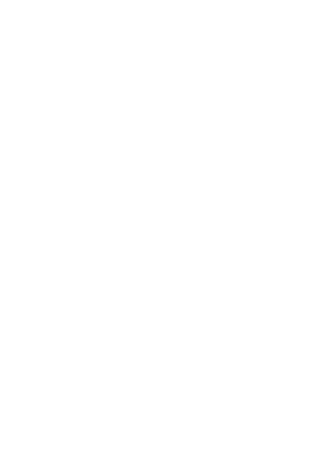## 2. General points for stakeholders to note on the expressions of interest responses

- $2.1$ The Government has in its recently published Government Response confirmed its intention to limit the coverage area of each small-scale DAB multiplex to a maximum of 40% of the population served by the existing local commercial DAB multiplex in each area (if there is one). We note that some multiplex coverage aspirations received as part of the expressions of interest process exceed this limit.
- $2.2$ Only a limited amount of transmission spectrum will be available for small-scale DAB, and it will not be possible for this resource to meet all the demand expressed as part of the expressions of interest process.
- $\bullet$ %0] OE  $\check{S}$ ] }  $V \bullet \sim$  $\check{S}$ ]  $0 \check{S}$  $\check{C}$  } (  $CE \cdot \%_0$  } v v  $\check{S} \cdot [$  }  $\check{A}$   $CE$  P  $2.3$  $dZ$  $\%$  OE Œ spectrum availability perspectives) will have to be assessed by Ofcom following these expressions of interest.
- Ofcom will continue to develop spectrum planning scenarios based on the expressions of  $2.4$ interest that we have received. However, we do not intend to define a final spectrum plan at this stage. Instead, our forthcoming consultation on the detailed implementation of the small-scale DAB licensing framework (which is expected to be published in 2019) will seek views on the principles we will use for planning the spectrum for SSDAB and the way we will apply those principles. It is important to note that there will be a range of allocation options, and the trade-offs and compromises associated with these options will be determined by Ofcom.
- $2.5$ We have also received expressions of interest for serving the Channel Islands as part of this process. However, as Crown Dependencies, UK legislation (such as the enabling legislation for small-scale DAB) is not automatically adopted in the Channel Islands. It is not yet clear whether the administrations of Jersey and Guernsey will adopt the small-scale DAB legislation, though we hope that the situation will become clearer in due course.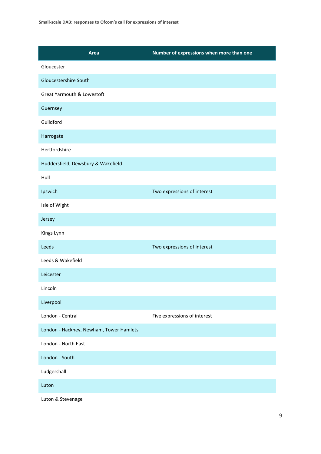| Area                                    | Number of expressions when more than one |
|-----------------------------------------|------------------------------------------|
| Gloucester                              |                                          |
| Gloucestershire South                   |                                          |
| Great Yarmouth & Lowestoft              |                                          |
| Guernsey                                |                                          |
| Guildford                               |                                          |
| Harrogate                               |                                          |
| Hertfordshire                           |                                          |
| Huddersfield, Dewsbury & Wakefield      |                                          |
| Hull                                    |                                          |
| Ipswich                                 | Two expressions of interest              |
| Isle of Wight                           |                                          |
| Jersey                                  |                                          |
| Kings Lynn                              |                                          |
| Leeds                                   | Two expressions of interest              |
| Leeds & Wakefield                       |                                          |
| Leicester                               |                                          |
| Lincoln                                 |                                          |
| Liverpool                               |                                          |
| London - Central                        | Five expressions of interest             |
| London - Hackney, Newham, Tower Hamlets |                                          |
| London - North East                     |                                          |
| London - South                          |                                          |
| Ludgershall                             |                                          |
| Luton                                   |                                          |
| Luton & Stevenage                       |                                          |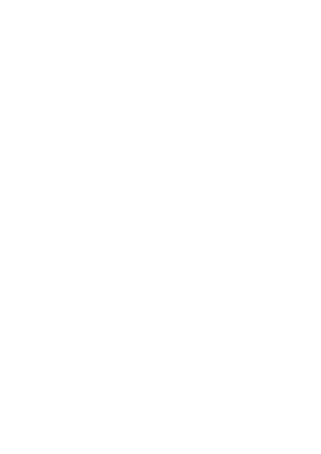#### **Gntents**

#### Section 1. Oerview of responses

|  | 2. Central points for stakholders to note on the expressions of interest responses |  |  |  |
|--|------------------------------------------------------------------------------------|--|--|--|

 $\mathbf{1}$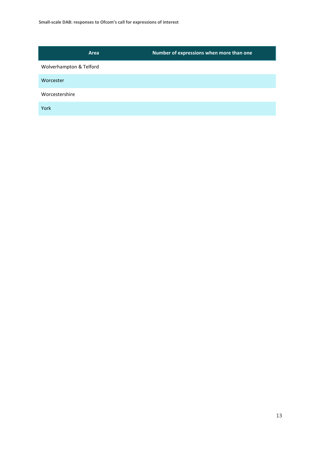| Area                    | Number of expressions when more than one |
|-------------------------|------------------------------------------|
| Wolverhampton & Telford |                                          |
| Worcester               |                                          |
| Worcestershire          |                                          |
| York                    |                                          |
|                         |                                          |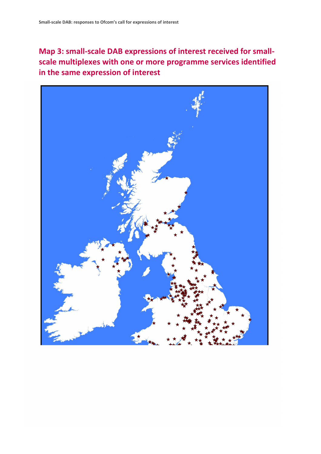**Map 3: small-scale DAB expressions of interest received for smallscale multiplexes with one or more programme services identified in the same expression of interest**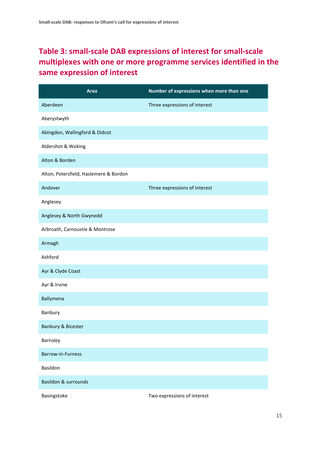#### **Table 3: small-scale DAB expressions of interest for small-scale multiplexes with one or more programme services identified in the same expression of interest**

| <b>Area</b>                            | Number of expressions when more than one |
|----------------------------------------|------------------------------------------|
| Aberdeen                               | Three expressions of interest            |
| Aberystwyth                            |                                          |
| Abingdon, Wallingford & Didcot         |                                          |
| Aldershot & Woking                     |                                          |
| Alton & Borden                         |                                          |
| Alton, Petersfield, Haslemere & Bordon |                                          |
| Andover                                | Three expressions of interest            |
| Anglesey                               |                                          |
| Anglesey & North Gwynedd               |                                          |
| Arbroath, Carnoustie & Montrose        |                                          |
| Armagh                                 |                                          |
| Ashford                                |                                          |
| Ayr & Clyde Coast                      |                                          |
| Ayr & Irvine                           |                                          |
| Ballymena                              |                                          |
| Banbury                                |                                          |
| Banbury & Bicester                     |                                          |
| Barnsley                               |                                          |
| Barrow-in-Furness                      |                                          |
| Basildon                               |                                          |
| <b>Basildon &amp; surrounds</b>        |                                          |
| Basingstoke                            | Two expressions of interest              |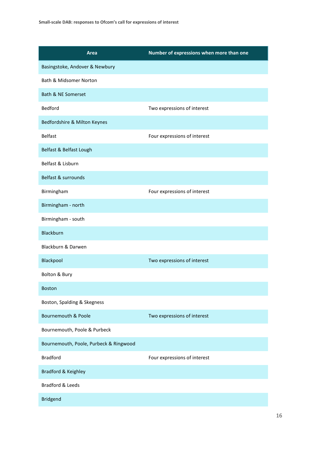| Area                                   | Number of expressions when more than one |
|----------------------------------------|------------------------------------------|
| Basingstoke, Andover & Newbury         |                                          |
| Bath & Midsomer Norton                 |                                          |
| Bath & NE Somerset                     |                                          |
| Bedford                                | Two expressions of interest              |
| Bedfordshire & Milton Keynes           |                                          |
| <b>Belfast</b>                         | Four expressions of interest             |
| Belfast & Belfast Lough                |                                          |
| Belfast & Lisburn                      |                                          |
| Belfast & surrounds                    |                                          |
| Birmingham                             | Four expressions of interest             |
| Birmingham - north                     |                                          |
| Birmingham - south                     |                                          |
| <b>Blackburn</b>                       |                                          |
| Blackburn & Darwen                     |                                          |
| Blackpool                              | Two expressions of interest              |
| Bolton & Bury                          |                                          |
| <b>Boston</b>                          |                                          |
| Boston, Spalding & Skegness            |                                          |
| Bournemouth & Poole                    | Two expressions of interest              |
| Bournemouth, Poole & Purbeck           |                                          |
| Bournemouth, Poole, Purbeck & Ringwood |                                          |
| <b>Bradford</b>                        | Four expressions of interest             |
| Bradford & Keighley                    |                                          |
| <b>Bradford &amp; Leeds</b>            |                                          |
| <b>Bridgend</b>                        |                                          |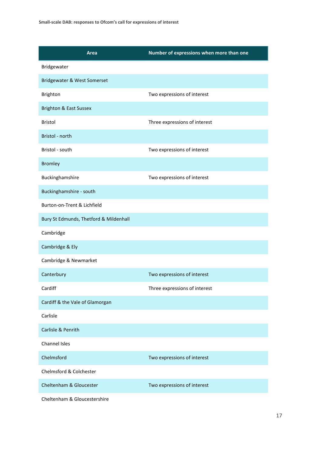| <b>Area</b>                            | Number of expressions when more than one |
|----------------------------------------|------------------------------------------|
| Bridgewater                            |                                          |
| Bridgewater & West Somerset            |                                          |
| Brighton                               | Two expressions of interest              |
| Brighton & East Sussex                 |                                          |
| <b>Bristol</b>                         | Three expressions of interest            |
| Bristol - north                        |                                          |
| Bristol - south                        | Two expressions of interest              |
| <b>Bromley</b>                         |                                          |
| Buckinghamshire                        | Two expressions of interest              |
| Buckinghamshire - south                |                                          |
| Burton-on-Trent & Lichfield            |                                          |
| Bury St Edmunds, Thetford & Mildenhall |                                          |
| Cambridge                              |                                          |
| Cambridge & Ely                        |                                          |
| Cambridge & Newmarket                  |                                          |
| Canterbury                             | Two expressions of interest              |
| Cardiff                                | Three expressions of interest            |
| Cardiff & the Vale of Glamorgan        |                                          |
| Carlisle                               |                                          |
| Carlisle & Penrith                     |                                          |
| Channel Isles                          |                                          |
| Chelmsford                             | Two expressions of interest              |
| Chelmsford & Colchester                |                                          |
| Cheltenham & Gloucester                | Two expressions of interest              |
|                                        |                                          |

Cheltenham & Gloucestershire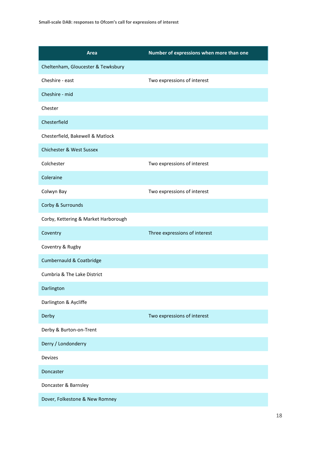| <b>Area</b>                          | Number of expressions when more than one |
|--------------------------------------|------------------------------------------|
| Cheltenham, Gloucester & Tewksbury   |                                          |
| Cheshire - east                      | Two expressions of interest              |
| Cheshire - mid                       |                                          |
| Chester                              |                                          |
| Chesterfield                         |                                          |
| Chesterfield, Bakewell & Matlock     |                                          |
| <b>Chichester &amp; West Sussex</b>  |                                          |
| Colchester                           | Two expressions of interest              |
| Coleraine                            |                                          |
| Colwyn Bay                           | Two expressions of interest              |
| Corby & Surrounds                    |                                          |
| Corby, Kettering & Market Harborough |                                          |
| Coventry                             | Three expressions of interest            |
| Coventry & Rugby                     |                                          |
| Cumbernauld & Coatbridge             |                                          |
| Cumbria & The Lake District          |                                          |
| Darlington                           |                                          |
| Darlington & Aycliffe                |                                          |
| Derby                                | Two expressions of interest              |
| Derby & Burton-on-Trent              |                                          |
| Derry / Londonderry                  |                                          |
| Devizes                              |                                          |
| Doncaster                            |                                          |
| Doncaster & Barnsley                 |                                          |
| Dover, Folkestone & New Romney       |                                          |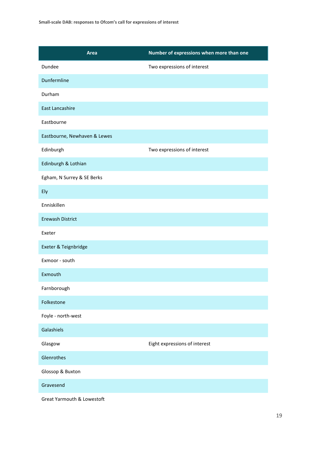| Area                         | Number of expressions when more than one |
|------------------------------|------------------------------------------|
| Dundee                       | Two expressions of interest              |
| Dunfermline                  |                                          |
| Durham                       |                                          |
| East Lancashire              |                                          |
| Eastbourne                   |                                          |
| Eastbourne, Newhaven & Lewes |                                          |
| Edinburgh                    | Two expressions of interest              |
| Edinburgh & Lothian          |                                          |
| Egham, N Surrey & SE Berks   |                                          |
| Ely                          |                                          |
| Enniskillen                  |                                          |
| <b>Erewash District</b>      |                                          |
| Exeter                       |                                          |
| Exeter & Teignbridge         |                                          |
| Exmoor - south               |                                          |
| Exmouth                      |                                          |
| Farnborough                  |                                          |
| Folkestone                   |                                          |
| Foyle - north-west           |                                          |
| Galashiels                   |                                          |
| Glasgow                      | Eight expressions of interest            |
| Glenrothes                   |                                          |
| Glossop & Buxton             |                                          |
| Gravesend                    |                                          |
| Great Yarmouth & Lowestoft   |                                          |

19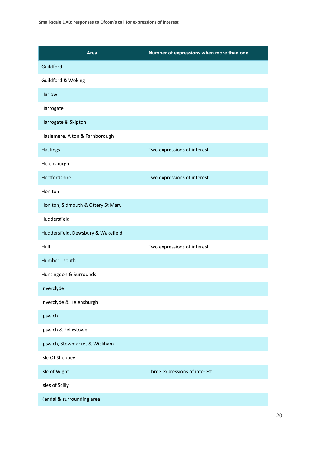| Area                               | Number of expressions when more than one |
|------------------------------------|------------------------------------------|
| Guildford                          |                                          |
| Guildford & Woking                 |                                          |
| Harlow                             |                                          |
| Harrogate                          |                                          |
| Harrogate & Skipton                |                                          |
| Haslemere, Alton & Farnborough     |                                          |
| <b>Hastings</b>                    | Two expressions of interest              |
| Helensburgh                        |                                          |
| Hertfordshire                      | Two expressions of interest              |
| Honiton                            |                                          |
| Honiton, Sidmouth & Ottery St Mary |                                          |
| Huddersfield                       |                                          |
| Huddersfield, Dewsbury & Wakefield |                                          |
| Hull                               | Two expressions of interest              |
| Humber - south                     |                                          |
| Huntingdon & Surrounds             |                                          |
| Inverclyde                         |                                          |
| Inverclyde & Helensburgh           |                                          |
| Ipswich                            |                                          |
| Ipswich & Felixstowe               |                                          |
| Ipswich, Stowmarket & Wickham      |                                          |
| Isle Of Sheppey                    |                                          |
| Isle of Wight                      | Three expressions of interest            |
| Isles of Scilly                    |                                          |
| Kendal & surrounding area          |                                          |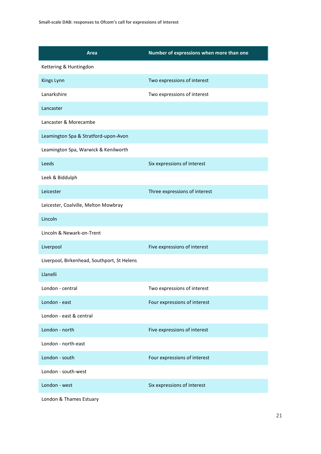| Area                                        | Number of expressions when more than one |
|---------------------------------------------|------------------------------------------|
| Kettering & Huntingdon                      |                                          |
| Kings Lynn                                  | Two expressions of interest              |
| Lanarkshire                                 | Two expressions of interest              |
| Lancaster                                   |                                          |
| Lancaster & Morecambe                       |                                          |
| Leamington Spa & Stratford-upon-Avon        |                                          |
| Leamington Spa, Warwick & Kenilworth        |                                          |
| Leeds                                       | Six expressions of interest              |
| Leek & Biddulph                             |                                          |
| Leicester                                   | Three expressions of interest            |
| Leicester, Coalville, Melton Mowbray        |                                          |
| Lincoln                                     |                                          |
| Lincoln & Newark-on-Trent                   |                                          |
| Liverpool                                   | Five expressions of interest             |
| Liverpool, Birkenhead, Southport, St Helens |                                          |
| Llanelli                                    |                                          |
| London - central                            | Two expressions of interest              |
| London - east                               | Four expressions of interest             |
| London - east & central                     |                                          |
| London - north                              | Five expressions of interest             |
| London - north-east                         |                                          |
| London - south                              | Four expressions of interest             |
| London - south-west                         |                                          |
| London - west                               | Six expressions of interest              |
|                                             |                                          |

London & Thames Estuary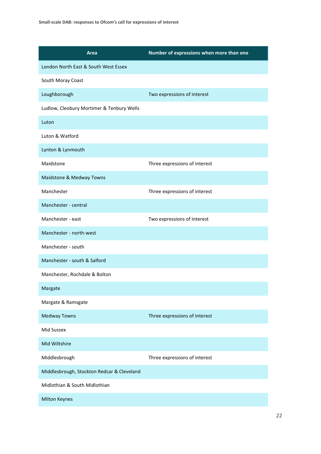| Area                                       | Number of expressions when more than one |
|--------------------------------------------|------------------------------------------|
| London North East & South West Essex       |                                          |
| South Moray Coast                          |                                          |
| Loughborough                               | Two expressions of interest              |
| Ludlow, Cleobury Mortimer & Tenbury Wells  |                                          |
| Luton                                      |                                          |
| Luton & Watford                            |                                          |
| Lynton & Lynmouth                          |                                          |
| Maidstone                                  | Three expressions of interest            |
| Maidstone & Medway Towns                   |                                          |
| Manchester                                 | Three expressions of interest            |
| Manchester - central                       |                                          |
| Manchester - east                          | Two expressions of interest              |
| Manchester - north-west                    |                                          |
| Manchester - south                         |                                          |
| Manchester - south & Salford               |                                          |
| Manchester, Rochdale & Bolton              |                                          |
| Margate                                    |                                          |
| Margate & Ramsgate                         |                                          |
| <b>Medway Towns</b>                        | Three expressions of interest            |
| Mid Sussex                                 |                                          |
| Mid Wiltshire                              |                                          |
| Middlesbrough                              | Three expressions of interest            |
| Middlesbrough, Stockton Redcar & Cleveland |                                          |
| Midlothian & South Midlothian              |                                          |
| <b>Milton Keynes</b>                       |                                          |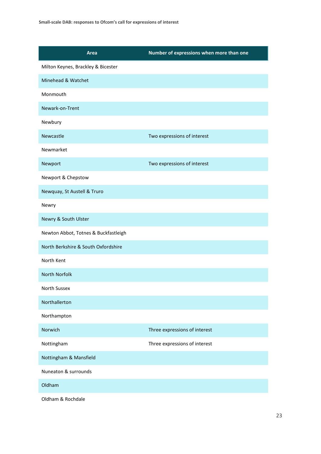| Area                                 | Number of expressions when more than one |
|--------------------------------------|------------------------------------------|
| Milton Keynes, Brackley & Bicester   |                                          |
| Minehead & Watchet                   |                                          |
| Monmouth                             |                                          |
| Newark-on-Trent                      |                                          |
| Newbury                              |                                          |
| Newcastle                            | Two expressions of interest              |
| Newmarket                            |                                          |
| Newport                              | Two expressions of interest              |
| Newport & Chepstow                   |                                          |
| Newquay, St Austell & Truro          |                                          |
| Newry                                |                                          |
| Newry & South Ulster                 |                                          |
| Newton Abbot, Totnes & Buckfastleigh |                                          |
| North Berkshire & South Oxfordshire  |                                          |
| North Kent                           |                                          |
| North Norfolk                        |                                          |
| North Sussex                         |                                          |
| Northallerton                        |                                          |
| Northampton                          |                                          |
| Norwich                              | Three expressions of interest            |
| Nottingham                           | Three expressions of interest            |
| Nottingham & Mansfield               |                                          |
| Nuneaton & surrounds                 |                                          |
| Oldham                               |                                          |
| Oldham & Rochdale                    |                                          |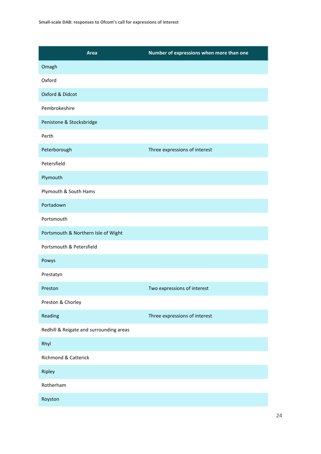| Area                                    | Number of expressions when more than one |
|-----------------------------------------|------------------------------------------|
| Omagh                                   |                                          |
| Oxford                                  |                                          |
| Oxford & Didcot                         |                                          |
| Pembrokeshire                           |                                          |
| Penistone & Stocksbridge                |                                          |
| Perth                                   |                                          |
| Peterborough                            | Three expressions of interest            |
| Petersfield                             |                                          |
| Plymouth                                |                                          |
| Plymouth & South Hams                   |                                          |
| Portadown                               |                                          |
| Portsmouth                              |                                          |
| Portsmouth & Northern Isle of Wight     |                                          |
| Portsmouth & Petersfield                |                                          |
| Powys                                   |                                          |
| Prestatyn                               |                                          |
| Preston                                 | Two expressions of interest              |
| Preston & Chorley                       |                                          |
| Reading                                 | Three expressions of interest            |
| Redhill & Reigate and surrounding areas |                                          |
| Rhyl                                    |                                          |
| Richmond & Catterick                    |                                          |
| Ripley                                  |                                          |
| Rotherham                               |                                          |
| Royston                                 |                                          |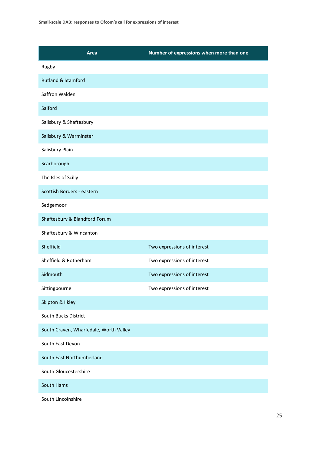| <b>Area</b>                            | Number of expressions when more than one |
|----------------------------------------|------------------------------------------|
| Rugby                                  |                                          |
| <b>Rutland &amp; Stamford</b>          |                                          |
| Saffron Walden                         |                                          |
| Salford                                |                                          |
| Salisbury & Shaftesbury                |                                          |
| Salisbury & Warminster                 |                                          |
| Salisbury Plain                        |                                          |
| Scarborough                            |                                          |
| The Isles of Scilly                    |                                          |
| Scottish Borders - eastern             |                                          |
| Sedgemoor                              |                                          |
| Shaftesbury & Blandford Forum          |                                          |
| Shaftesbury & Wincanton                |                                          |
| Sheffield                              | Two expressions of interest              |
| Sheffield & Rotherham                  | Two expressions of interest              |
| Sidmouth                               | Two expressions of interest              |
| Sittingbourne                          | Two expressions of interest              |
| Skipton & Ilkley                       |                                          |
| South Bucks District                   |                                          |
| South Craven, Wharfedale, Worth Valley |                                          |
| South East Devon                       |                                          |
| South East Northumberland              |                                          |
| South Gloucestershire                  |                                          |
| South Hams                             |                                          |
| South Lincolnshire                     |                                          |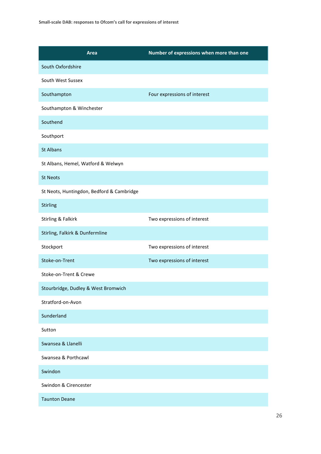| <b>Area</b>                               | Number of expressions when more than one |
|-------------------------------------------|------------------------------------------|
| South Oxfordshire                         |                                          |
| South West Sussex                         |                                          |
| Southampton                               | Four expressions of interest             |
| Southampton & Winchester                  |                                          |
| Southend                                  |                                          |
| Southport                                 |                                          |
| St Albans                                 |                                          |
| St Albans, Hemel, Watford & Welwyn        |                                          |
| <b>St Neots</b>                           |                                          |
| St Neots, Huntingdon, Bedford & Cambridge |                                          |
| Stirling                                  |                                          |
| Stirling & Falkirk                        | Two expressions of interest              |
| Stirling, Falkirk & Dunfermline           |                                          |
| Stockport                                 | Two expressions of interest              |
| Stoke-on-Trent                            | Two expressions of interest              |
| Stoke-on-Trent & Crewe                    |                                          |
| Stourbridge, Dudley & West Bromwich       |                                          |
| Stratford-on-Avon                         |                                          |
| Sunderland                                |                                          |
| Sutton                                    |                                          |
| Swansea & Llanelli                        |                                          |
| Swansea & Porthcawl                       |                                          |
| Swindon                                   |                                          |
| Swindon & Cirencester                     |                                          |
| <b>Taunton Deane</b>                      |                                          |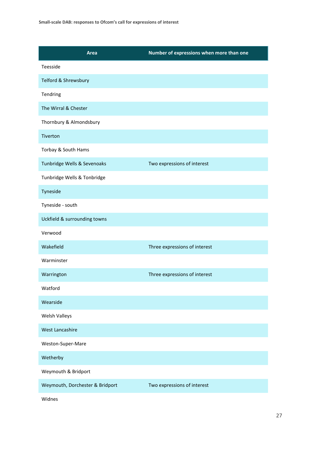| <b>Area</b>                     | Number of expressions when more than one |
|---------------------------------|------------------------------------------|
| Teesside                        |                                          |
| Telford & Shrewsbury            |                                          |
| Tendring                        |                                          |
| The Wirral & Chester            |                                          |
| Thornbury & Almondsbury         |                                          |
| Tiverton                        |                                          |
| Torbay & South Hams             |                                          |
| Tunbridge Wells & Sevenoaks     | Two expressions of interest              |
| Tunbridge Wells & Tonbridge     |                                          |
| Tyneside                        |                                          |
| Tyneside - south                |                                          |
| Uckfield & surrounding towns    |                                          |
| Verwood                         |                                          |
| Wakefield                       | Three expressions of interest            |
| Warminster                      |                                          |
| Warrington                      | Three expressions of interest            |
| Watford                         |                                          |
| Wearside                        |                                          |
| <b>Welsh Valleys</b>            |                                          |
| <b>West Lancashire</b>          |                                          |
| Weston-Super-Mare               |                                          |
| Wetherby                        |                                          |
| Weymouth & Bridport             |                                          |
| Weymouth, Dorchester & Bridport | Two expressions of interest              |
| Widnes                          |                                          |